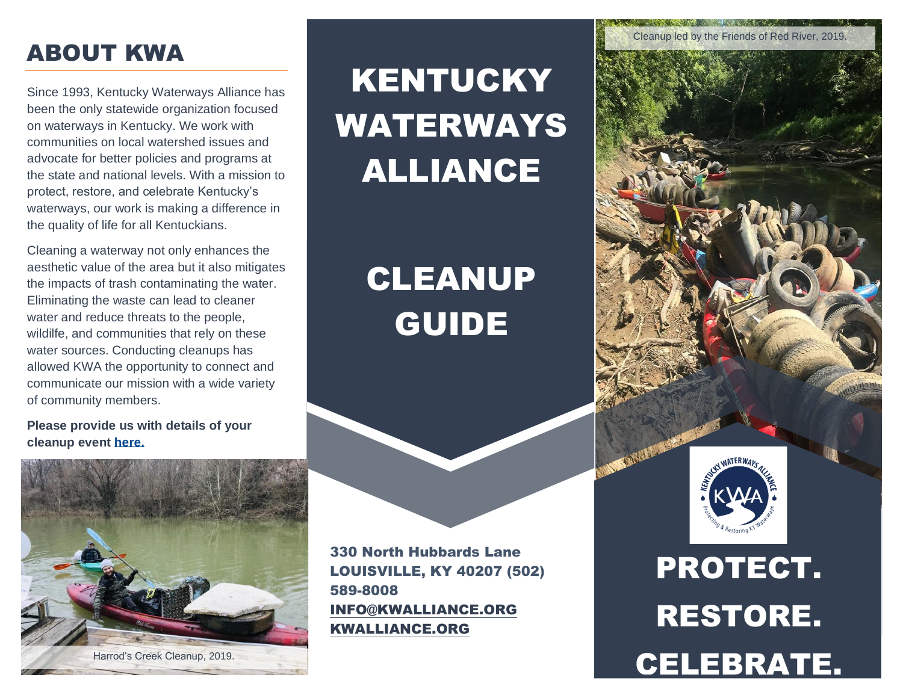### ABOUT KWA

Since 1993, Kentucky Waterways Alliance has been the only statewide organization focused on waterways in Kentucky. We work with communities on local watershed issues and advocate for better policies and programs at the state and national levels. With a mission to protect, restore, and celebrate Kentucky's waterways, our work is making a difference in the quality of life for all Kentuckians.

Cleaning a waterway not only enhances the aesthetic value of the area but it also mitigates the impacts of trash contaminating the water. Eliminating the waste can lead to cleaner water and reduce threats to the people, wildilfe, and communities that rely on these water sources. Conducting cleanups has allowed KWA the opportunity to connect and communicate our mission with a wide variety of community members.

#### **Please provide us with details of your cleanup event [here.](https://docs.google.com/forms/d/e/1FAIpQLSefb2Ay8DpBnUDpCkuMyq5N7viTBa30d8l3hiU6qCHE8JBJaA/viewform)**



# KENTUCKY WATERWAYS ALLIANCE

# CLEANUP GUIDE

330 North Hubbards Lane LOUISVILLE, KY 40207 (502) 589-8008 [INFO@KWALLIANCE.ORG](mailto:info@kwalliance.org) [KWALLIANCE.ORG](https://kwalliance.org/) 



PROTECT. RESTORE. Harrod's Creek Cleanup, 2019.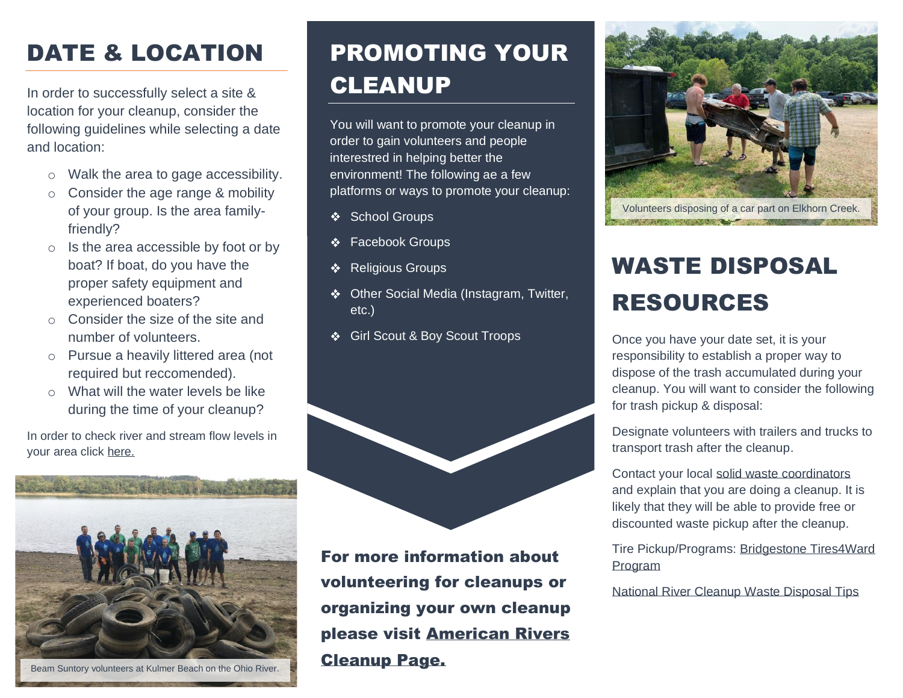# DATE & LOCATION

In order to successfully select a site & location for your cleanup, consider the following guidelines while selecting a date and location:

- o Walk the area to gage accessibility.
- o Consider the age range & mobility of your group. Is the area familyfriendly?
- o Is the area accessible by foot or by boat? If boat, do you have the proper safety equipment and experienced boaters?
- o Consider the size of the site and number of volunteers.
- o Pursue a heavily littered area (not required but reccomended).
- $\circ$  What will the water levels be like during the time of your cleanup?

In order to check river and stream flow levels in your area click [here.](https://waterwatch.usgs.gov/?id=ww_current)



Beam Suntory volunteers at Kulmer Beach on the Ohio River.

# PROMOTING YOUR CLEANUP

You will want to promote your cleanup in order to gain volunteers and people interestred in helping better the environment! The following ae a few platforms or ways to promote your cleanup:

- School Groups  $\frac{d\mathbf{y}}{d\mathbf{y}}$
- Facebook Groups ❖
- Religious Groups ❖
- ❖ Other Social Media (Instagram, Twitter, etc.)
- Girl Scout & Boy Scout Troops ❖



For more information about volunteering for cleanups or organizing your own cleanup please visit [American Rivers](https://www.americanrivers.org/make-an-impact/national-river-cleanup/organizers/)  [Cleanup Page.](https://www.americanrivers.org/make-an-impact/national-river-cleanup/organizers/)



Volunteers disposing of a car part on Elkhorn Creek.

# WASTE DISPOSAL RESOURCES

Once you have your date set, it is your responsibility to establish a proper way to dispose of the trash accumulated during your cleanup. You will want to consider the following for trash pickup & disposal:

Designate volunteers with trailers and trucks to transport trash after the cleanup.

Contact your local [solid waste coordinators](https://eec.ky.gov/Environmental-Protection/Waste/recycling-and-local-assistance/Documents/Solid%20Waste%20Coordinators.pdf)  and explain that you are doing a cleanup. It is likely that they will be able to provide free or discounted waste pickup after the cleanup.

Tire Pickup/Programs: [Bridgestone Tires4Ward](https://www.bridgestoneamericas.com/en/corporate-social-responsibility/environment-and-sustainability/tires4ward-program-details)  [Program](https://www.bridgestoneamericas.com/en/corporate-social-responsibility/environment-and-sustainability/tires4ward-program-details)

[National River Cleanup Waste Disposal Tips](https://s3.amazonaws.com/american-rivers-website/wp-content/uploads/2017/08/18113240/NRC-Waste-Disposal-Fact-Sheet_FINAL.pdf)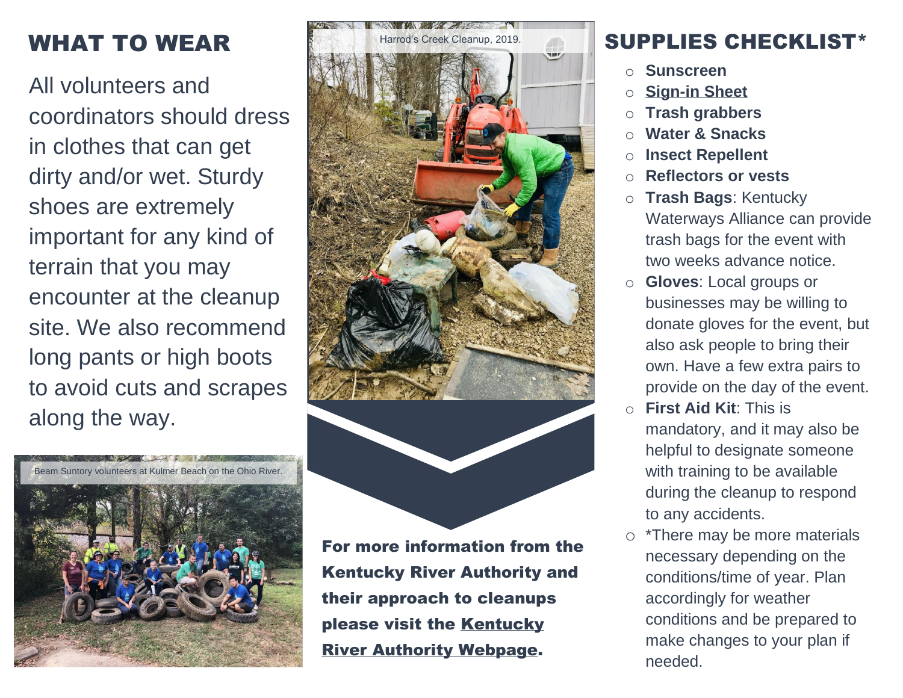# WHAT TO WEAR

All volunteers and coordinators should dress in clothes that can get dirty and/or wet. Sturdy shoes are extremely important for any kind of terrain that you may encounter at the cleanup site. We also recommend long pants or high boots to avoid cuts and scrapes along the way.







For more information from the Kentucky River Authority and their approach to cleanups please visit the [Kentucky](https://finance.ky.gov/offices/kra/Pages/default.aspx)  [River Authority Webpage.](https://finance.ky.gov/offices/kra/Pages/default.aspx)

#### SUPPLIES CHECKLIST\*

- **Sunscreen**
- **[Sign-in Sheet](../Downloads/Volunteer%20Signin%20Sheet.xlsx)**
- **Trash grabbers**
- **Water & Snacks**
- o **Insect Repellent**
- o **Reflectors or vests**
- o **Trash Bags**: Kentucky Waterways Alliance can provide trash bags for the event with two weeks advance notice.
- o **Gloves**: Local groups or businesses may be willing to donate gloves for the event, but also ask people to bring their own. Have a few extra pairs to provide on the day of the event.
- o **First Aid Kit**: This is mandatory, and it may also be helpful to designate someone with training to be available during the cleanup to respond to any accidents.
- o \*There may be more materials necessary depending on the conditions/time of year. Plan accordingly for weather conditions and be prepared to make changes to your plan if needed.